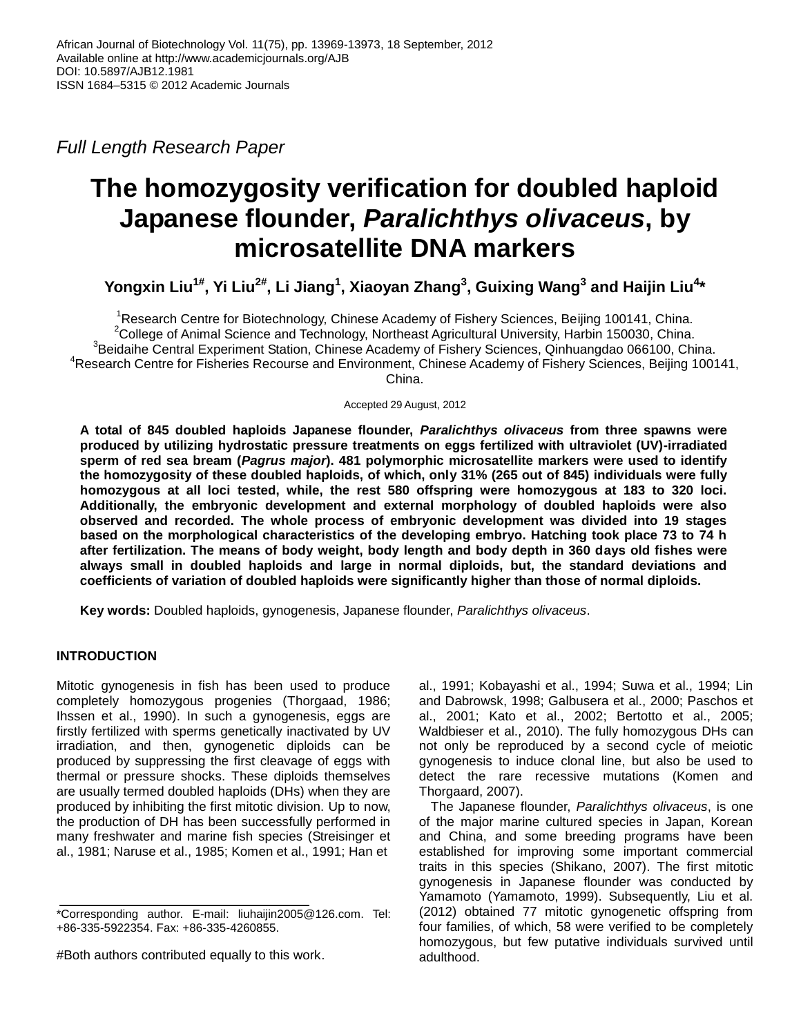*Full Length Research Paper*

# **The homozygosity verification for doubled haploid Japanese flounder,** *Paralichthys olivaceus***, by microsatellite DNA markers**

**Yongxin Liu1# , Yi Liu2# , Li Jiang<sup>1</sup> , Xiaoyan Zhang<sup>3</sup> , Guixing Wang<sup>3</sup> and Haijin Liu<sup>4</sup> \***

<sup>1</sup>Research Centre for Biotechnology, Chinese Academy of Fishery Sciences, Beijing 100141, China. <sup>2</sup>College of Animal Science and Technology, Northeast Agricultural University, Harbin 150030, China. <sup>3</sup>Beidaihe Central Experiment Station, Chinese Academy of Fishery Sciences, Qinhuangdao 066100, China. <sup>4</sup>Research Centre for Fisheries Recourse and Environment, Chinese Academy of Fishery Sciences, Beijing 100141, China.

Accepted 29 August, 2012

**A total of 845 doubled haploids Japanese flounder,** *Paralichthys olivaceus* **from three spawns were produced by utilizing hydrostatic pressure treatments on eggs fertilized with ultraviolet (UV)-irradiated sperm of red sea bream (***Pagrus major***). 481 [polymorphic](app:ds:polymorphic) microsatellite markers were used to identify the homozygosity of these doubled haploids, of which, only 31% (265 out of 845) individuals were fully homozygous at all loci tested, while, the rest 580 offspring were homozygous at 183 to 320 loci. Additionally, the embryonic development and external morphology of doubled haploids were also observed and recorded. The whole process of embryonic development was divided into 19 stages based on the morphological characteristics of the developing embryo. Hatching took place 73 to 74 h after fertilization. The means of body weight, body length and body depth in 360 days old fishes were always small in doubled haploids and large in normal diploids, but, the standard deviations and coefficients of variation of doubled haploids were significantly higher than those of normal diploids.** 

**Key words:** Doubled haploids, gynogenesis, Japanese flounder, *Paralichthys olivaceus*.

# **INTRODUCTION**

Mitotic gynogenesis in fish has been used to produce completely homozygous progenies (Thorgaad, 1986; Ihssen et al., 1990). In such a gynogenesis, eggs are firstly fertilized with sperms genetically inactivated by UV irradiation, and then, gynogenetic diploids can be produced by suppressing the first cleavage of eggs with thermal or pressure shocks. These diploids themselves are usually termed doubled haploids (DHs) when they are produced by inhibiting the first mitotic division. Up to now, the production of DH has been successfully performed in many freshwater and marine fish species (Streisinger et al., 1981; Naruse et al., 1985; Komen et al., 1991; Han et

al., 1991; Kobayashi et al., 1994; Suwa et al., 1994; Lin and Dabrowsk, 1998; Galbusera et al., 2000; Paschos et al., 2001; Kato et al., 2002; Bertotto et al., 2005; Waldbieser et al., 2010). The fully homozygous DHs can not only be reproduced by a second cycle of meiotic gynogenesis to induce clonal line, but also be used to detect the rare recessive mutations (Komen and Thorgaard, 2007).

The Japanese flounder, *Paralichthys olivaceus*, is one of the major marine cultured species in Japan, Korean and China, and some breeding programs have been established for improving some important commercial traits in this species (Shikano, 2007). The first mitotic gynogenesis in Japanese flounder was conducted by Yamamoto (Yamamoto, 1999). Subsequently, Liu et al. (2012) obtained 77 mitotic gynogenetic offspring from four families, of which, 58 were verified to be completely homozygous, but few putative individuals survived until adulthood.

<sup>\*</sup>Corresponding author. E-mail: liuhaijin2005@126.com. Tel: +86-335-5922354. Fax: +86-335-4260855.

<sup>#</sup>Both authors contributed equally to this work.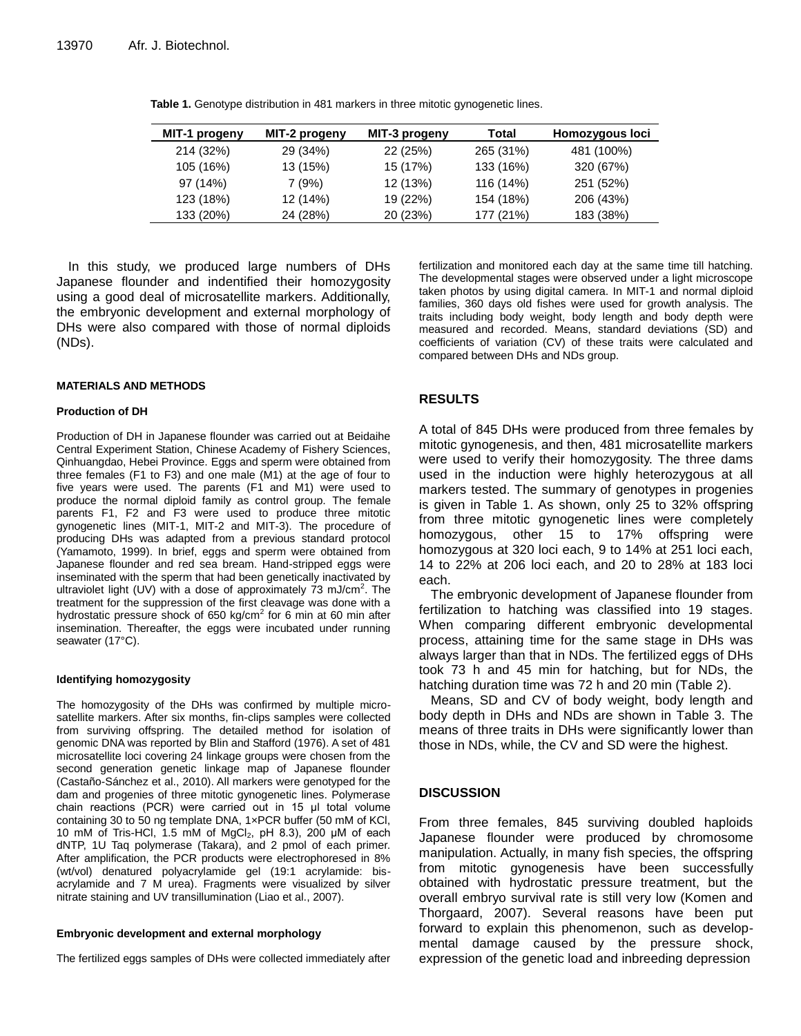| MIT-1 progeny | MIT-2 progeny | MIT-3 progeny | Total     | Homozygous loci |
|---------------|---------------|---------------|-----------|-----------------|
| 214 (32%)     | 29 (34%)      | 22 (25%)      | 265 (31%) | 481 (100%)      |
| 105 (16%)     | 13 (15%)      | 15 (17%)      | 133 (16%) | 320 (67%)       |
| 97 (14%)      | 7(9%)         | 12 (13%)      | 116 (14%) | 251 (52%)       |
| 123 (18%)     | 12 (14%)      | 19 (22%)      | 154 (18%) | 206 (43%)       |
| 133 (20%)     | 24 (28%)      | 20 (23%)      | 177 (21%) | 183 (38%)       |

**Table 1.** Genotype distribution in 481 markers in three mitotic gynogenetic lines.

In this study, we produced large numbers of DHs Japanese flounder and indentified their homozygosity using a good deal of microsatellite markers. Additionally, the embryonic development and external morphology of DHs were also compared with those of normal diploids (NDs).

#### **MATERIALS AND METHODS**

#### **Production of DH**

Production of DH in Japanese flounder was carried out at Beidaihe Central Experiment Station, Chinese Academy of Fishery Sciences, Qinhuangdao, Hebei Province. Eggs and sperm were obtained from three females (F1 to F3) and one male (M1) at the age of four to five years were used. The parents (F1 and M1) were used to produce the normal diploid family as control group. The female parents F1, F2 and F3 were used to produce three mitotic gynogenetic lines (MIT-1, MIT-2 and MIT-3). The procedure of producing DHs was adapted from a previous standard protocol (Yamamoto, 1999). In brief, eggs and sperm were obtained from Japanese flounder and red sea bream. Hand-stripped eggs were inseminated with the sperm that had been genetically inactivated by ultraviolet light (UV) with a dose of approximately 73 mJ/cm<sup>2</sup>. The treatment for the suppression of the first cleavage was done with a hydrostatic pressure shock of 650 kg/cm<sup>2</sup> for 6 min at 60 min after insemination. Thereafter, the eggs were incubated under running seawater (17°C).

#### **Identifyin[g homozygosity](app:ds:homozygosity)**

The [homozygosity](app:ds:homozygosity) of the DHs was confirmed by multiple microsatellite markers. After six months, fin-clips samples were collected from surviving offspring. The detailed method for isolation of genomic DNA was reported by Blin and Stafford (1976). A set of 481 microsatellite loci covering 24 linkage groups were chosen from the second generation genetic linkage map of Japanese flounder (Castaño-Sánchez et al., 2010). All markers were genotyped for the dam and progenies of three mitotic gynogenetic lines. Polymerase chain reactions (PCR) were carried out in 15 μl total volume containing 30 to 50 ng template DNA, 1×PCR buffer (50 mM of KCl, 10 mM of Tris-HCl, 1.5 mM of MgCl2, pH 8.3), 200 μM of each dNTP, 1U Taq polymerase (Takara), and 2 pmol of each primer. After amplification, the PCR products were electrophoresed in 8% (wt/vol) denatured polyacrylamide gel (19:1 acrylamide: bisacrylamide and 7 M urea). Fragments were visualized by silver nitrate staining and UV transillumination (Liao et al., 2007).

#### **Embryonic development and external morphology**

The fertilized eggs samples of DHs were collected immediately after

fertilization and monitored each day at the same time till hatching. The developmental stages were observed under a light microscope taken photos by using digital camera. In MIT-1 and normal diploid families, 360 days old fishes were used for growth analysis. The traits including body weight, body length and body depth were measured and recorded. Means, standard deviations (SD) and coefficients of variation (CV) of these traits were calculated and compared between DHs and NDs group.

## **RESULTS**

A total of 845 DHs were produced from three females by mitotic gynogenesis, and then, 481 microsatellite markers were used to verify their homozygosity. The three dams used in the induction were highly heterozygous at all markers tested. The summary of genotypes in progenies is given in Table 1. As shown, only 25 to 32% offspring from three mitotic gynogenetic lines were completely homozygous, other 15 to 17% offspring were homozygous at 320 loci each, 9 to 14% at 251 loci each, 14 to 22% at 206 loci each, and 20 to 28% at 183 loci each.

The embryonic development of Japanese flounder from fertilization to hatching was classified into 19 stages. When comparing different embryonic developmental process, attaining time for the same stage in DHs was always larger than that in NDs. The fertilized eggs of DHs took 73 h and 45 min for hatching, but for NDs, the hatching duration time was 72 h and 20 min (Table 2).

Means, SD and CV of body weight, body length and body depth in DHs and NDs are shown in Table 3. The means of three traits in DHs were significantly lower than those in NDs, while, the CV and SD were the highest.

## **DISCUSSION**

From three females, 845 surviving doubled haploids Japanese flounder were produced by chromosome manipulation. Actually, in many fish species, the offspring from mitotic gynogenesis have been successfully obtained with hydrostatic pressure treatment, but the overall embryo survival rate is still very low (Komen and Thorgaard, 2007). Several reasons have been put forward to explain this phenomenon, such as developmental damage caused by the pressure shock, expression of the genetic load and inbreeding depression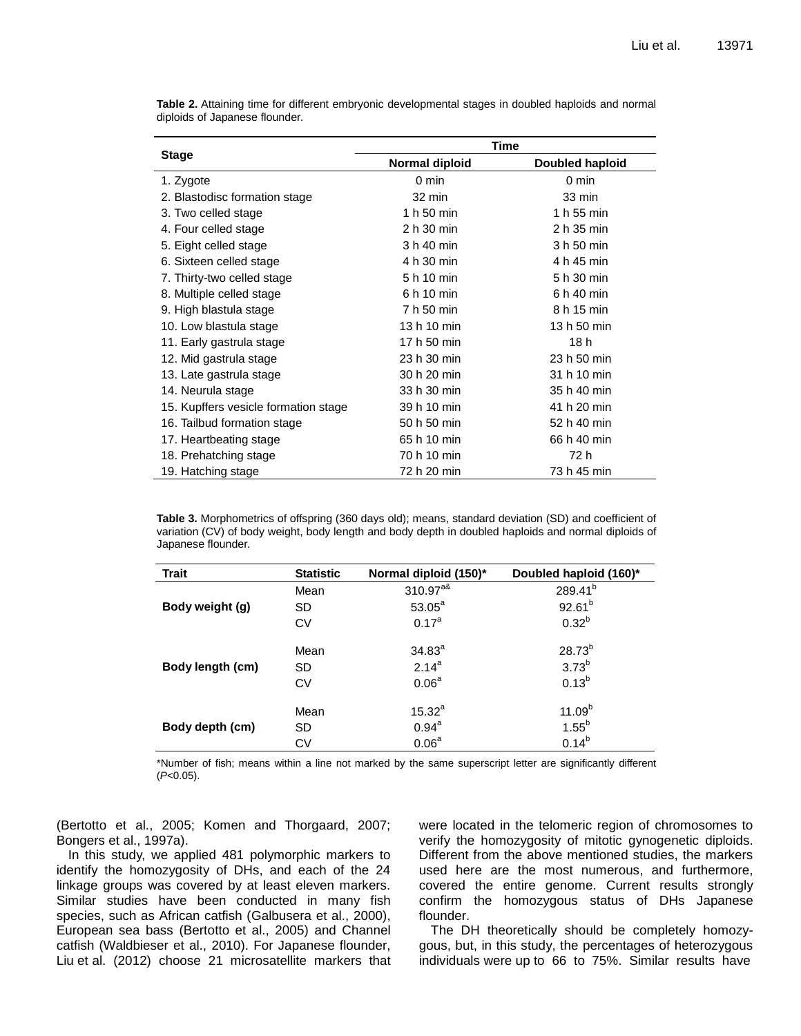|                                      | <b>Time</b>    |                 |  |
|--------------------------------------|----------------|-----------------|--|
| <b>Stage</b>                         | Normal diploid | Doubled haploid |  |
| 1. Zygote                            | 0 min          | 0 min           |  |
| 2. Blastodisc formation stage        | 32 min         | 33 min          |  |
| 3. Two celled stage                  | 1 h 50 min     | 1 h 55 min      |  |
| 4. Four celled stage                 | 2 h 30 min     | 2 h 35 min      |  |
| 5. Eight celled stage                | 3 h 40 min     | 3 h 50 min      |  |
| 6. Sixteen celled stage              | 4 h 30 min     | 4 h 45 min      |  |
| 7. Thirty-two celled stage           | 5 h 10 min     | 5 h 30 min      |  |
| 8. Multiple celled stage             | 6 h 10 min     | 6 h 40 min      |  |
| 9. High blastula stage               | 7 h 50 min     | 8 h 15 min      |  |
| 10. Low blastula stage               | 13 h 10 min    | 13 h 50 min     |  |
| 11. Early gastrula stage             | 17 h 50 min    | 18 h            |  |
| 12. Mid gastrula stage               | 23 h 30 min    | 23 h 50 min     |  |
| 13. Late gastrula stage              | 30 h 20 min    | 31 h 10 min     |  |
| 14. Neurula stage                    | 33 h 30 min    | 35 h 40 min     |  |
| 15. Kupffers vesicle formation stage | 39 h 10 min    | 41 h 20 min     |  |
| 16. Tailbud formation stage          | 50 h 50 min    | 52 h 40 min     |  |
| 17. Heartbeating stage               | 65 h 10 min    | 66 h 40 min     |  |
| 18. Prehatching stage                | 70 h 10 min    | 72 h            |  |
| 19. Hatching stage                   | 72 h 20 min    | 73 h 45 min     |  |

**Table 2.** Attaining time for different embryonic developmental stages in doubled haploids and normal diploids of Japanese flounder.

**Table 3.** Morphometrics of offspring (360 days old); means, standard deviation (SD) and coefficient of variation (CV) of body weight, body length and body depth in doubled haploids and normal diploids of Japanese flounder.

| <b>Trait</b>     | <b>Statistic</b> | Normal diploid (150)* | Doubled haploid (160)* |
|------------------|------------------|-----------------------|------------------------|
|                  | Mean             | $310.97^{a\&}$        | $289.41^{b}$           |
| Body weight (g)  | SD               | $53.05^a$             | $92.61^{b}$            |
|                  | CV               | 0.17 <sup>a</sup>     | $0.32^{b}$             |
|                  | Mean             | $34.83^{a}$           | $28.73^{b}$            |
| Body length (cm) | SD.              | $2.14^{a}$            | $3.73^{b}$             |
|                  | <b>CV</b>        | 0.06 <sup>a</sup>     | $0.13^{b}$             |
|                  | Mean             | $15.32^{a}$           | 11.09 <sup>b</sup>     |
| Body depth (cm)  | SD.              | $0.94^{a}$            | $1.55^{b}$             |
|                  | СV               | 0.06 <sup>a</sup>     | $0.14^{b}$             |

\*Number of fish; means within a line not marked by the same superscript letter are significantly different (*P*<0.05).

(Bertotto et al., 2005; Komen and Thorgaard, 2007; Bongers et al., 1997a).

In this study, we applied 481 polymorphic markers to identify the homozygosity of DHs, and each of the 24 linkage groups was covered by at least eleven markers. Similar studies have been conducted in many fish species, such as African catfish (Galbusera et al., 2000), European sea bass (Bertotto et al., 2005) and Channel catfish (Waldbieser et al., 2010). For Japanese flounder, Liu et al. (2012) choose 21 microsatellite markers that were located in the telomeric region of chromosomes to verify the [homozygosity](app:ds:homozygosity) of mitotic gynogenetic diploids. Different from the above mentioned studies, the markers used here are the most numerous, and furthermore, covered the entire genome. Current results strongly confirm the homozygous status of DHs Japanese flounder.

The DH [theoretically](app:ds:theoretically) should be completely homozygous, but, in this study, the percentages of heterozygous individuals were up to 66 to 75%. Similar results have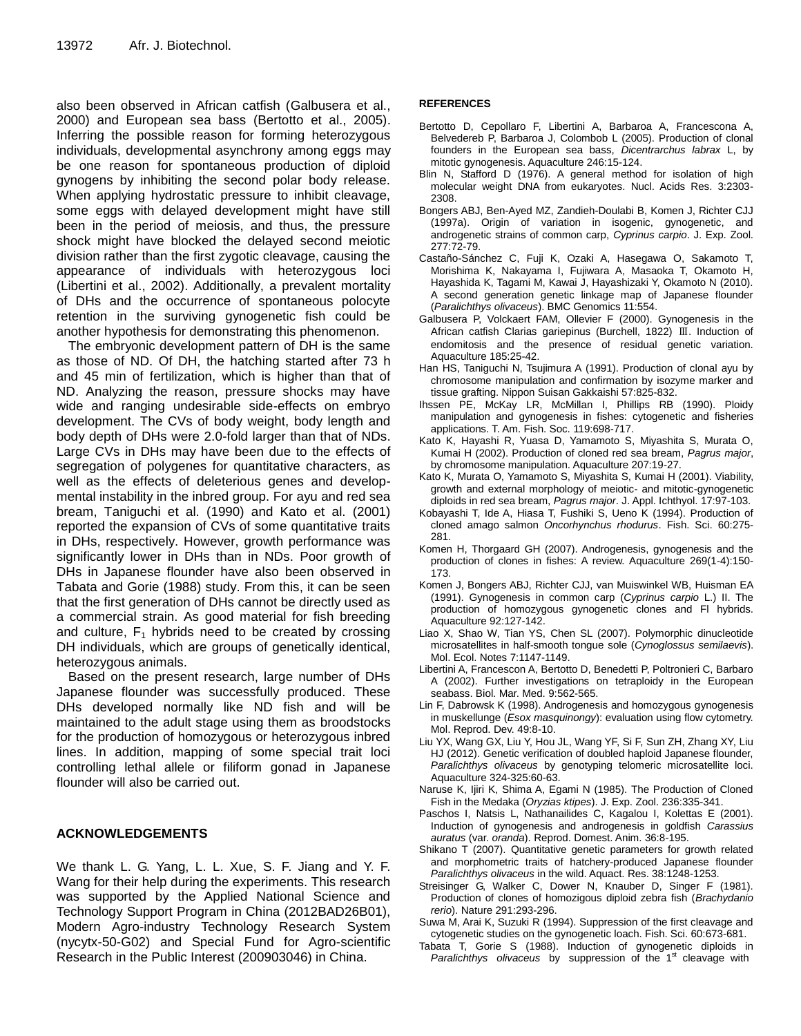also been observed in African catfish (Galbusera et al., 2000) and European sea bass (Bertotto et al., 2005). Inferring the possible reason for forming heterozygous individuals, developmental asynchrony among eggs may be one reason for spontaneous production of diploid gynogens by inhibiting the second polar body release. When applying hydrostatic pressure to inhibit cleavage, some eggs with delayed development might have still been in the period of meiosis, and thus, the pressure shock might have blocked the delayed second meiotic division rather than the first zygotic cleavage, causing the appearance of individuals with heterozygous loci (Libertini et al., 2002). Additionally, a prevalent mortality of DHs and the occurrence of spontaneous polocyte retention in the surviving gynogenetic fish could be another hypothesis for demonstrating this phenomenon.

The embryonic development pattern of DH is the same as those of ND. Of DH, the hatching started after 73 h and 45 min of fertilization, which is higher than that of ND. Analyzing the reason, pressure shocks may have wide and ranging undesirable side-effects on embryo development. The CVs of body weight, body length and body depth of DHs were 2.0-fold larger than that of NDs. Large CVs in DHs may have been due to the effects of segregation of polygenes for quantitative characters, as well as the effects of deleterious genes and developmental instability in the inbred group. For ayu and red sea bream, Taniguchi et al. (1990) and Kato et al. (2001) reported the expansion of CVs of some quantitative traits in DHs, respectively. However, growth performance was significantly lower in DHs than in NDs. Poor growth of DHs in Japanese flounder have also been observed in Tabata and Gorie (1988) study. From this, it can be seen that the first generation of DHs cannot be directly used as a commercial strain. As good material for fish breeding and culture,  $F_1$  hybrids need to be created by crossing DH individuals, which are groups of genetically identical, heterozygous animals.

Based on the present research, large number of DHs Japanese flounder was successfully produced. These DHs developed normally like ND fish and will be maintained to the adult stage using them as broodstocks for the production of homozygous or heterozygous inbred lines. In addition, mapping of some special trait loci controlling lethal allele or filiform gonad in Japanese flounder will also be carried out.

# **ACKNOWLEDGEMENTS**

We thank L. G. Yang, L. L. Xue, S. F. Jiang and Y. F. Wang for their help during the experiments. This research was supported by the Applied National Science and Technology Support Program in China (2012BAD26B01), Modern Agro-industry Technology Research System (nycytx-50-G02) and Special Fund for Agro-scientific Research in the Public Interest (200903046) in China.

# **REFERENCES**

- Bertotto D, Cepollaro F, Libertini A, Barbaroa A, Francescona A, Belvedereb P, Barbaroa J, Colombob L (2005). Production of clonal founders in the European sea bass, *Dicentrarchus labrax* L, by mitotic gynogenesis. Aquaculture 246:15-124.
- Blin N, Stafford D (1976). A general method for isolation of high molecular weight DNA from eukaryotes. Nucl. Acids Res. 3:2303- 2308.
- Bongers ABJ, Ben-Ayed MZ, Zandieh-Doulabi B, Komen J, Richter CJJ (1997a). Origin of variation in isogenic, gynogenetic, and androgenetic strains of common carp, *Cyprinus carpio*. J. Exp. Zool. 277:72-79.
- Castaño-Sánchez C, Fuji K, Ozaki A, Hasegawa O, Sakamoto T, Morishima K, Nakayama I, Fujiwara A, Masaoka T, Okamoto H, Hayashida K, Tagami M, Kawai J, Hayashizaki Y, Okamoto N (2010). A second generation genetic linkage map of Japanese flounder (*Paralichthys olivaceus*). BMC Genomics 11:554.
- Galbusera P, Volckaert FAM, Ollevier F (2000). Gynogenesis in the African catfish Clarias gariepinus (Burchell, 1822) Ⅲ. Induction of endomitosis and the presence of residual genetic variation. Aquaculture 185:25-42.
- Han HS, Taniguchi N, Tsujimura A (1991). Production of clonal ayu by chromosome manipulation and confirmation by isozyme marker and tissue grafting. Nippon Suisan Gakkaishi 57:825-832.
- Ihssen PE, McKay LR, McMillan I, Phillips RB (1990). Ploidy manipulation and gynogenesis in fishes: cytogenetic and fisheries applications. T. Am. Fish. Soc. 119:698-717.
- Kato K, Hayashi R, Yuasa D, Yamamoto S, Miyashita S, Murata O, Kumai H (2002). Production of cloned red sea bream, *Pagrus major*, by chromosome manipulation. Aquaculture 207:19-27.
- Kato K, Murata O, Yamamoto S, Miyashita S, Kumai H (2001). Viability, growth and external morphology of meiotic- and mitotic-gynogenetic diploids in red sea bream, *Pagrus major*. J. Appl. Ichthyol. 17:97-103.
- Kobayashi T, Ide A, Hiasa T, Fushiki S, Ueno K (1994). Production of cloned amago salmon *Oncorhynchus rhodurus*. Fish. Sci. 60:275- 281.
- Komen H, Thorgaard GH (2007). Androgenesis, gynogenesis and the production of clones in fishes: A review. Aquaculture 269(1-4):150- 173.
- Komen J, Bongers ABJ, Richter CJJ, van Muiswinkel WB, Huisman EA (1991). Gynogenesis in common carp (*Cyprinus carpio* L.) II. The production of homozygous gynogenetic clones and Fl hybrids. Aquaculture 92:127-142.
- Liao X, Shao W, Tian YS, Chen SL (2007). Polymorphic dinucleotide microsatellites in half-smooth tongue sole (*Cynoglossus semilaevis*). Mol. Ecol. Notes 7:1147-1149.
- Libertini A, Francescon A, Bertotto D, Benedetti P, Poltronieri C, Barbaro A (2002). Further investigations on tetraploidy in the European seabass. Biol. Mar. Med. 9:562-565.
- Lin F, Dabrowsk K (1998). Androgenesis and homozygous gynogenesis in muskellunge (*Esox masquinongy*): evaluation using flow cytometry. Mol. Reprod. Dev. 49:8-10.
- Liu YX, Wang GX, Liu Y, Hou JL, Wang YF, Si F, Sun ZH, Zhang XY, Liu HJ (2012). Genetic verification of doubled haploid Japanese flounder, *Paralichthys olivaceus* by genotyping telomeric microsatellite loci. Aquaculture 324-325:60-63.
- Naruse K, Ijiri K, Shima A, Egami N (1985). The Production of Cloned Fish in the Medaka (*Oryzias ktipes*). J. Exp. Zool. 236:335-341.
- Paschos I, Natsis L, Nathanailides C, Kagalou I, Kolettas E (2001). Induction of gynogenesis and androgenesis in goldfish *Carassius auratus* (var. *oranda*). Reprod. Domest. Anim. 36:8-195.
- Shikano T (2007). Quantitative genetic parameters for growth related and morphometric traits of hatchery-produced Japanese flounder *Paralichthys olivaceus* in the wild. Aquact. Res. 38:1248-1253.
- Streisinger G, Walker C, Dower N, Knauber D, Singer F (1981). Production of clones of homozigous diploid zebra fish (*Brachydanio rerio*). Nature 291:293-296.
- Suwa M, Arai K, Suzuki R (1994). Suppression of the first cleavage and cytogenetic studies on the gynogenetic loach. Fish. Sci. 60:673-681.
- Tabata T, Gorie S (1988). Induction of gynogenetic diploids in Paralichthys olivaceus by suppression of the 1<sup>st</sup> cleavage with